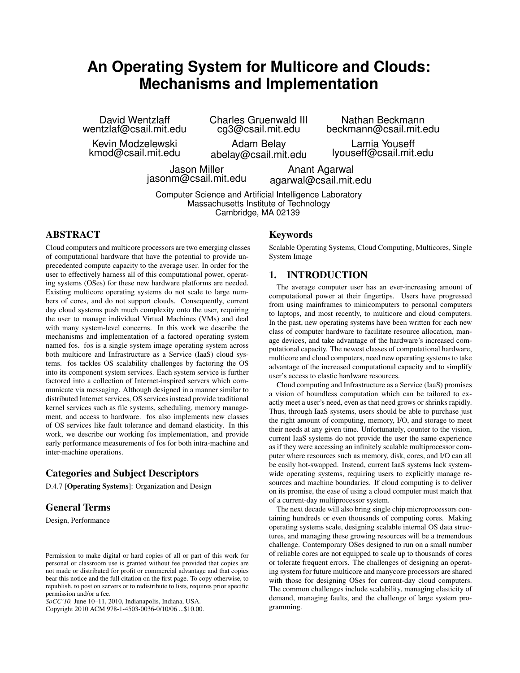# **An Operating System for Multicore and Clouds: Mechanisms and Implementation**

David Wentzlaff wentzlaf@csail.mit.edu

Kevin Modzelewski kmod@csail.mit.edu Charles Gruenwald III cg3@csail.mit.edu

Adam Belay abelay@csail.mit.edu

Nathan Beckmann beckmann@csail.mit.edu

Lamia Youseff lyouseff@csail.mit.edu

Jason Miller jasonm@csail.mit.edu

Anant Agarwal agarwal@csail.mit.edu

Computer Science and Artificial Intelligence Laboratory Massachusetts Institute of Technology Cambridge, MA 02139

# ABSTRACT

Cloud computers and multicore processors are two emerging classes of computational hardware that have the potential to provide unprecedented compute capacity to the average user. In order for the user to effectively harness all of this computational power, operating systems (OSes) for these new hardware platforms are needed. Existing multicore operating systems do not scale to large numbers of cores, and do not support clouds. Consequently, current day cloud systems push much complexity onto the user, requiring the user to manage individual Virtual Machines (VMs) and deal with many system-level concerns. In this work we describe the mechanisms and implementation of a factored operating system named fos. fos is a single system image operating system across both multicore and Infrastructure as a Service (IaaS) cloud systems. fos tackles OS scalability challenges by factoring the OS into its component system services. Each system service is further factored into a collection of Internet-inspired servers which communicate via messaging. Although designed in a manner similar to distributed Internet services, OS services instead provide traditional kernel services such as file systems, scheduling, memory management, and access to hardware. fos also implements new classes of OS services like fault tolerance and demand elasticity. In this work, we describe our working fos implementation, and provide early performance measurements of fos for both intra-machine and inter-machine operations.

## Categories and Subject Descriptors

D.4.7 [Operating Systems]: Organization and Design

## General Terms

Design, Performance

Copyright 2010 ACM 978-1-4503-0036-0/10/06 ...\$10.00.

### Keywords

Scalable Operating Systems, Cloud Computing, Multicores, Single System Image

# 1. INTRODUCTION

The average computer user has an ever-increasing amount of computational power at their fingertips. Users have progressed from using mainframes to minicomputers to personal computers to laptops, and most recently, to multicore and cloud computers. In the past, new operating systems have been written for each new class of computer hardware to facilitate resource allocation, manage devices, and take advantage of the hardware's increased computational capacity. The newest classes of computational hardware, multicore and cloud computers, need new operating systems to take advantage of the increased computational capacity and to simplify user's access to elastic hardware resources.

Cloud computing and Infrastructure as a Service (IaaS) promises a vision of boundless computation which can be tailored to exactly meet a user's need, even as that need grows or shrinks rapidly. Thus, through IaaS systems, users should be able to purchase just the right amount of computing, memory, I/O, and storage to meet their needs at any given time. Unfortunately, counter to the vision, current IaaS systems do not provide the user the same experience as if they were accessing an infinitely scalable multiprocessor computer where resources such as memory, disk, cores, and I/O can all be easily hot-swapped. Instead, current IaaS systems lack systemwide operating systems, requiring users to explicitly manage resources and machine boundaries. If cloud computing is to deliver on its promise, the ease of using a cloud computer must match that of a current-day multiprocessor system.

The next decade will also bring single chip microprocessors containing hundreds or even thousands of computing cores. Making operating systems scale, designing scalable internal OS data structures, and managing these growing resources will be a tremendous challenge. Contemporary OSes designed to run on a small number of reliable cores are not equipped to scale up to thousands of cores or tolerate frequent errors. The challenges of designing an operating system for future multicore and manycore processors are shared with those for designing OSes for current-day cloud computers. The common challenges include scalability, managing elasticity of demand, managing faults, and the challenge of large system programming.

Permission to make digital or hard copies of all or part of this work for personal or classroom use is granted without fee provided that copies are not made or distributed for profit or commercial advantage and that copies bear this notice and the full citation on the first page. To copy otherwise, to republish, to post on servers or to redistribute to lists, requires prior specific permission and/or a fee.

*SoCC'10,* June 10–11, 2010, Indianapolis, Indiana, USA.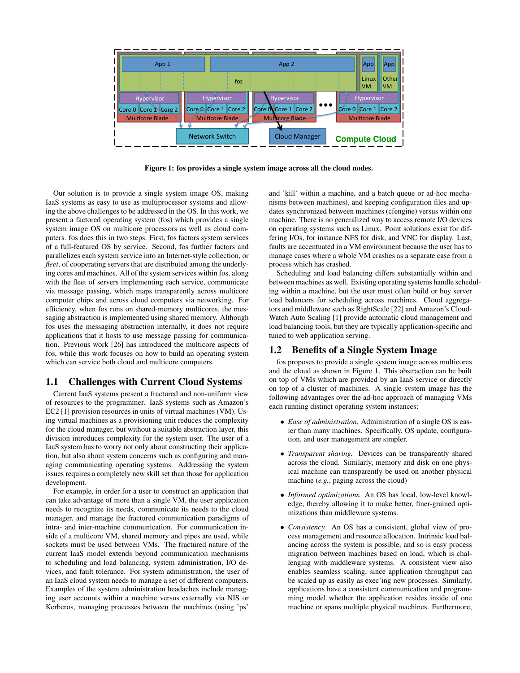

Figure 1: fos provides a single system image across all the cloud nodes.

Our solution is to provide a single system image OS, making IaaS systems as easy to use as multiprocessor systems and allowing the above challenges to be addressed in the OS. In this work, we present a factored operating system (fos) which provides a single system image OS on multicore processors as well as cloud computers. fos does this in two steps. First, fos factors system services of a full-featured OS by service. Second, fos further factors and parallelizes each system service into an Internet-style collection, or *fleet*, of cooperating servers that are distributed among the underlying cores and machines. All of the system services within fos, along with the fleet of servers implementing each service, communicate via message passing, which maps transparently across multicore computer chips and across cloud computers via networking. For efficiency, when fos runs on shared-memory multicores, the messaging abstraction is implemented using shared memory. Although fos uses the messaging abstraction internally, it does not require applications that it hosts to use message passing for communication. Previous work [26] has introduced the multicore aspects of fos, while this work focuses on how to build an operating system which can service both cloud and multicore computers.

### 1.1 Challenges with Current Cloud Systems

Current IaaS systems present a fractured and non-uniform view of resources to the programmer. IaaS systems such as Amazon's EC2 [1] provision resources in units of virtual machines (VM). Using virtual machines as a provisioning unit reduces the complexity for the cloud manager, but without a suitable abstraction layer, this division introduces complexity for the system user. The user of a IaaS system has to worry not only about constructing their application, but also about system concerns such as configuring and managing communicating operating systems. Addressing the system issues requires a completely new skill set than those for application development.

For example, in order for a user to construct an application that can take advantage of more than a single VM, the user application needs to recognize its needs, communicate its needs to the cloud manager, and manage the fractured communication paradigms of intra- and inter-machine communication. For communication inside of a multicore VM, shared memory and pipes are used, while sockets must be used between VMs. The fractured nature of the current IaaS model extends beyond communication mechanisms to scheduling and load balancing, system administration, I/O devices, and fault tolerance. For system administration, the user of an IaaS cloud system needs to manage a set of different computers. Examples of the system administration headaches include managing user accounts within a machine versus externally via NIS or Kerberos, managing processes between the machines (using 'ps'

and 'kill' within a machine, and a batch queue or ad-hoc mechanisms between machines), and keeping configuration files and updates synchronized between machines (cfengine) versus within one machine. There is no generalized way to access remote I/O devices on operating systems such as Linux. Point solutions exist for differing I/Os, for instance NFS for disk, and VNC for display. Last, faults are accentuated in a VM environment because the user has to manage cases where a whole VM crashes as a separate case from a process which has crashed.

Scheduling and load balancing differs substantially within and between machines as well. Existing operating systems handle scheduling within a machine, but the user must often build or buy server load balancers for scheduling across machines. Cloud aggregators and middleware such as RightScale [22] and Amazon's Cloud-Watch Auto Scaling [1] provide automatic cloud management and load balancing tools, but they are typically application-specific and tuned to web application serving.

### 1.2 Benefits of a Single System Image

fos proposes to provide a single system image across multicores and the cloud as shown in Figure 1. This abstraction can be built on top of VMs which are provided by an IaaS service or directly on top of a cluster of machines. A single system image has the following advantages over the ad-hoc approach of managing VMs each running distinct operating system instances:

- *Ease of administration.* Administration of a single OS is easier than many machines. Specifically, OS update, configuration, and user management are simpler.
- *Transparent sharing.* Devices can be transparently shared across the cloud. Similarly, memory and disk on one physical machine can transparently be used on another physical machine (*e.g.*, paging across the cloud)
- *Informed optimizations.* An OS has local, low-level knowledge, thereby allowing it to make better, finer-grained optimizations than middleware systems.
- *Consistency.* An OS has a consistent, global view of process management and resource allocation. Intrinsic load balancing across the system is possible, and so is easy process migration between machines based on load, which is challenging with middleware systems. A consistent view also enables seamless scaling, since application throughput can be scaled up as easily as exec'ing new processes. Similarly, applications have a consistent communication and programming model whether the application resides inside of one machine or spans multiple physical machines. Furthermore,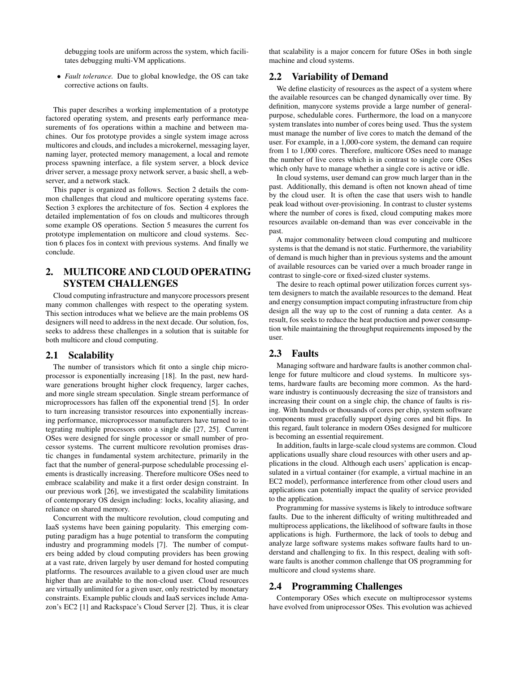debugging tools are uniform across the system, which facilitates debugging multi-VM applications.

• *Fault tolerance.* Due to global knowledge, the OS can take corrective actions on faults.

This paper describes a working implementation of a prototype factored operating system, and presents early performance measurements of fos operations within a machine and between machines. Our fos prototype provides a single system image across multicores and clouds, and includes a microkernel, messaging layer, naming layer, protected memory management, a local and remote process spawning interface, a file system server, a block device driver server, a message proxy network server, a basic shell, a webserver, and a network stack.

This paper is organized as follows. Section 2 details the common challenges that cloud and multicore operating systems face. Section 3 explores the architecture of fos. Section 4 explores the detailed implementation of fos on clouds and multicores through some example OS operations. Section 5 measures the current fos prototype implementation on multicore and cloud systems. Section 6 places fos in context with previous systems. And finally we conclude.

# 2. MULTICORE AND CLOUD OPERATING SYSTEM CHALLENGES

Cloud computing infrastructure and manycore processors present many common challenges with respect to the operating system. This section introduces what we believe are the main problems OS designers will need to address in the next decade. Our solution, fos, seeks to address these challenges in a solution that is suitable for both multicore and cloud computing.

### 2.1 Scalability

The number of transistors which fit onto a single chip microprocessor is exponentially increasing [18]. In the past, new hardware generations brought higher clock frequency, larger caches, and more single stream speculation. Single stream performance of microprocessors has fallen off the exponential trend [5]. In order to turn increasing transistor resources into exponentially increasing performance, microprocessor manufacturers have turned to integrating multiple processors onto a single die [27, 25]. Current OSes were designed for single processor or small number of processor systems. The current multicore revolution promises drastic changes in fundamental system architecture, primarily in the fact that the number of general-purpose schedulable processing elements is drastically increasing. Therefore multicore OSes need to embrace scalability and make it a first order design constraint. In our previous work [26], we investigated the scalability limitations of contemporary OS design including: locks, locality aliasing, and reliance on shared memory.

Concurrent with the multicore revolution, cloud computing and IaaS systems have been gaining popularity. This emerging computing paradigm has a huge potential to transform the computing industry and programming models [7]. The number of computers being added by cloud computing providers has been growing at a vast rate, driven largely by user demand for hosted computing platforms. The resources available to a given cloud user are much higher than are available to the non-cloud user. Cloud resources are virtually unlimited for a given user, only restricted by monetary constraints. Example public clouds and IaaS services include Amazon's EC2 [1] and Rackspace's Cloud Server [2]. Thus, it is clear that scalability is a major concern for future OSes in both single machine and cloud systems.

### 2.2 Variability of Demand

We define elasticity of resources as the aspect of a system where the available resources can be changed dynamically over time. By definition, manycore systems provide a large number of generalpurpose, schedulable cores. Furthermore, the load on a manycore system translates into number of cores being used. Thus the system must manage the number of live cores to match the demand of the user. For example, in a 1,000-core system, the demand can require from 1 to 1,000 cores. Therefore, multicore OSes need to manage the number of live cores which is in contrast to single core OSes which only have to manage whether a single core is active or idle.

In cloud systems, user demand can grow much larger than in the past. Additionally, this demand is often not known ahead of time by the cloud user. It is often the case that users wish to handle peak load without over-provisioning. In contrast to cluster systems where the number of cores is fixed, cloud computing makes more resources available on-demand than was ever conceivable in the past.

A major commonality between cloud computing and multicore systems is that the demand is not static. Furthermore, the variability of demand is much higher than in previous systems and the amount of available resources can be varied over a much broader range in contrast to single-core or fixed-sized cluster systems.

The desire to reach optimal power utilization forces current system designers to match the available resources to the demand. Heat and energy consumption impact computing infrastructure from chip design all the way up to the cost of running a data center. As a result, fos seeks to reduce the heat production and power consumption while maintaining the throughput requirements imposed by the user.

### 2.3 Faults

Managing software and hardware faults is another common challenge for future multicore and cloud systems. In multicore systems, hardware faults are becoming more common. As the hardware industry is continuously decreasing the size of transistors and increasing their count on a single chip, the chance of faults is rising. With hundreds or thousands of cores per chip, system software components must gracefully support dying cores and bit flips. In this regard, fault tolerance in modern OSes designed for multicore is becoming an essential requirement.

In addition, faults in large-scale cloud systems are common. Cloud applications usually share cloud resources with other users and applications in the cloud. Although each users' application is encapsulated in a virtual container (for example, a virtual machine in an EC2 model), performance interference from other cloud users and applications can potentially impact the quality of service provided to the application.

Programming for massive systems is likely to introduce software faults. Due to the inherent difficulty of writing multithreaded and multiprocess applications, the likelihood of software faults in those applications is high. Furthermore, the lack of tools to debug and analyze large software systems makes software faults hard to understand and challenging to fix. In this respect, dealing with software faults is another common challenge that OS programming for multicore and cloud systems share.

### 2.4 Programming Challenges

Contemporary OSes which execute on multiprocessor systems have evolved from uniprocessor OSes. This evolution was achieved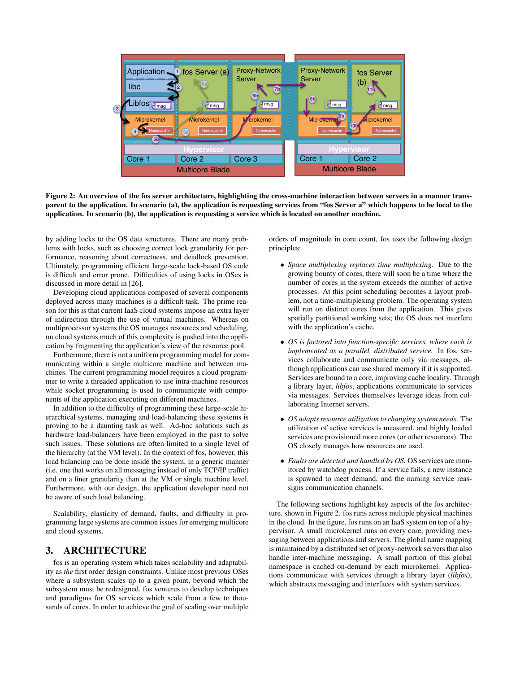

Figure 2: An overview of the fos server architecture, highlighting the cross-machine interaction between servers in a manner transparent to the application. In scenario (a), the application is requesting services from "fos Server a" which happens to be local to the application. In scenario (b), the application is requesting a service which is located on another machine.

by adding locks to the OS data structures. There are many problems with locks, such as choosing correct lock granularity for performance, reasoning about correctness, and deadlock prevention. Ultimately, programming efficient large-scale lock-based OS code is difficult and error prone. Difficulties of using locks in OSes is discussed in more detail in [26].

Developing cloud applications composed of several components deployed across many machines is a difficult task. The prime reason for this is that current IaaS cloud systems impose an extra layer of indirection through the use of virtual machines. Whereas on multiprocessor systems the OS manages resources and scheduling, on cloud systems much of this complexity is pushed into the application by fragmenting the application's view of the resource pool.

Furthermore, there is not a uniform programming model for communicating within a single multicore machine and between machines. The current programming model requires a cloud programmer to write a threaded application to use intra-machine resources while socket programming is used to communicate with components of the application executing on different machines.

In addition to the difficulty of programming these large-scale hierarchical systems, managing and load-balancing these systems is proving to be a daunting task as well. Ad-hoc solutions such as hardware load-balancers have been employed in the past to solve such issues. These solutions are often limited to a single level of the hierarchy (at the VM level). In the context of fos, however, this load balancing can be done inside the system, in a generic manner (i.e. one that works on all messaging instead of only TCP/IP traffic) and on a finer granularity than at the VM or single machine level. Furthermore, with our design, the application developer need not be aware of such load balancing.

Scalability, elasticity of demand, faults, and difficulty in programming large systems are common issues for emerging multicore and cloud systems.

### 3. ARCHITECTURE

fos is an operating system which takes scalability and adaptability as *the* first order design constraints. Unlike most previous OSes where a subsystem scales up to a given point, beyond which the subsystem must be redesigned, fos ventures to develop techniques and paradigms for OS services which scale from a few to thousands of cores. In order to achieve the goal of scaling over multiple

orders of magnitude in core count, fos uses the following design principles:

- *Space multiplexing replaces time multiplexing.* Due to the growing bounty of cores, there will soon be a time where the number of cores in the system exceeds the number of active processes. At this point scheduling becomes a layout problem, not a time-multiplexing problem. The operating system will run on distinct cores from the application. This gives spatially partitioned working sets; the OS does not interfere with the application's cache.
- *OS is factored into function-specific services, where each is implemented as a parallel, distributed service.* In fos, services collaborate and communicate only via messages, although applications can use shared memory if it is supported. Services are bound to a core, improving cache locality. Through a library layer, *libfos*, applications communicate to services via messages. Services themselves leverage ideas from collaborating Internet servers.
- *OS adapts resource utilization to changing system needs.* The utilization of active services is measured, and highly loaded services are provisioned more cores (or other resources). The OS closely manages how resources are used.
- *Faults are detected and handled by OS.* OS services are monitored by watchdog process. If a service fails, a new instance is spawned to meet demand, and the naming service reassigns communication channels.

The following sections highlight key aspects of the fos architecture, shown in Figure 2. fos runs across multiple physical machines in the cloud. In the figure, fos runs on an IaaS system on top of a hypervisor. A small microkernel runs on every core, providing messaging between applications and servers. The global name mapping is maintained by a distributed set of proxy-network servers that also handle inter-machine messaging. A small portion of this global namespace is cached on-demand by each microkernel. Applications communicate with services through a library layer (*libfos*), which abstracts messaging and interfaces with system services.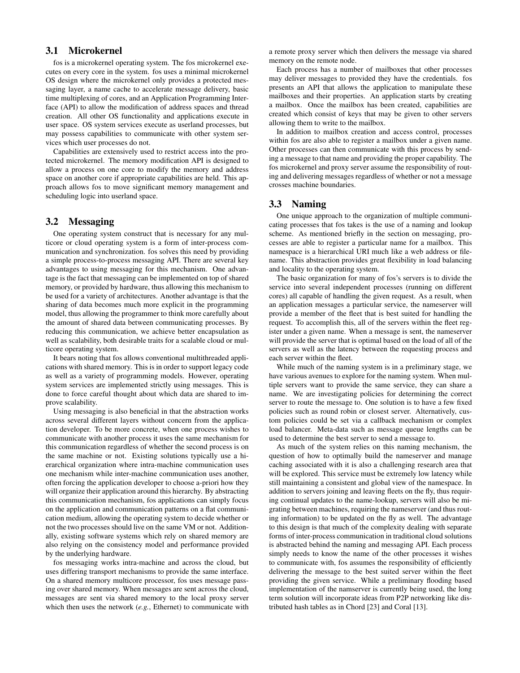# 3.1 Microkernel

fos is a microkernel operating system. The fos microkernel executes on every core in the system. fos uses a minimal microkernel OS design where the microkernel only provides a protected messaging layer, a name cache to accelerate message delivery, basic time multiplexing of cores, and an Application Programming Interface (API) to allow the modification of address spaces and thread creation. All other OS functionality and applications execute in user space. OS system services execute as userland processes, but may possess capabilities to communicate with other system services which user processes do not.

Capabilities are extensively used to restrict access into the protected microkernel. The memory modification API is designed to allow a process on one core to modify the memory and address space on another core if appropriate capabilities are held. This approach allows fos to move significant memory management and scheduling logic into userland space.

### 3.2 Messaging

One operating system construct that is necessary for any multicore or cloud operating system is a form of inter-process communication and synchronization. fos solves this need by providing a simple process-to-process messaging API. There are several key advantages to using messaging for this mechanism. One advantage is the fact that messaging can be implemented on top of shared memory, or provided by hardware, thus allowing this mechanism to be used for a variety of architectures. Another advantage is that the sharing of data becomes much more explicit in the programming model, thus allowing the programmer to think more carefully about the amount of shared data between communicating processes. By reducing this communication, we achieve better encapsulation as well as scalability, both desirable traits for a scalable cloud or multicore operating system.

It bears noting that fos allows conventional multithreaded applications with shared memory. This is in order to support legacy code as well as a variety of programming models. However, operating system services are implemented strictly using messages. This is done to force careful thought about which data are shared to improve scalability.

Using messaging is also beneficial in that the abstraction works across several different layers without concern from the application developer. To be more concrete, when one process wishes to communicate with another process it uses the same mechanism for this communication regardless of whether the second process is on the same machine or not. Existing solutions typically use a hierarchical organization where intra-machine communication uses one mechanism while inter-machine communication uses another, often forcing the application developer to choose a-priori how they will organize their application around this hierarchy. By abstracting this communication mechanism, fos applications can simply focus on the application and communication patterns on a flat communication medium, allowing the operating system to decide whether or not the two processes should live on the same VM or not. Additionally, existing software systems which rely on shared memory are also relying on the consistency model and performance provided by the underlying hardware.

fos messaging works intra-machine and across the cloud, but uses differing transport mechanisms to provide the same interface. On a shared memory multicore processor, fos uses message passing over shared memory. When messages are sent across the cloud, messages are sent via shared memory to the local proxy server which then uses the network (*e.g.*, Ethernet) to communicate with

a remote proxy server which then delivers the message via shared memory on the remote node.

Each process has a number of mailboxes that other processes may deliver messages to provided they have the credentials. fos presents an API that allows the application to manipulate these mailboxes and their properties. An application starts by creating a mailbox. Once the mailbox has been created, capabilities are created which consist of keys that may be given to other servers allowing them to write to the mailbox.

In addition to mailbox creation and access control, processes within fos are also able to register a mailbox under a given name. Other processes can then communicate with this process by sending a message to that name and providing the proper capability. The fos microkernel and proxy server assume the responsibility of routing and delivering messages regardless of whether or not a message crosses machine boundaries.

## 3.3 Naming

One unique approach to the organization of multiple communicating processes that fos takes is the use of a naming and lookup scheme. As mentioned briefly in the section on messaging, processes are able to register a particular name for a mailbox. This namespace is a hierarchical URI much like a web address or filename. This abstraction provides great flexibility in load balancing and locality to the operating system.

The basic organization for many of fos's servers is to divide the service into several independent processes (running on different cores) all capable of handling the given request. As a result, when an application messages a particular service, the nameserver will provide a member of the fleet that is best suited for handling the request. To accomplish this, all of the servers within the fleet register under a given name. When a message is sent, the nameserver will provide the server that is optimal based on the load of all of the servers as well as the latency between the requesting process and each server within the fleet.

While much of the naming system is in a preliminary stage, we have various avenues to explore for the naming system. When multiple servers want to provide the same service, they can share a name. We are investigating policies for determining the correct server to route the message to. One solution is to have a few fixed policies such as round robin or closest server. Alternatively, custom policies could be set via a callback mechanism or complex load balancer. Meta-data such as message queue lengths can be used to determine the best server to send a message to.

As much of the system relies on this naming mechanism, the question of how to optimally build the nameserver and manage caching associated with it is also a challenging research area that will be explored. This service must be extremely low latency while still maintaining a consistent and global view of the namespace. In addition to servers joining and leaving fleets on the fly, thus requiring continual updates to the name-lookup, servers will also be migrating between machines, requiring the nameserver (and thus routing information) to be updated on the fly as well. The advantage to this design is that much of the complexity dealing with separate forms of inter-process communication in traditional cloud solutions is abstracted behind the naming and messaging API. Each process simply needs to know the name of the other processes it wishes to communicate with, fos assumes the responsibility of efficiently delivering the message to the best suited server within the fleet providing the given service. While a preliminary flooding based implementation of the namserver is currently being used, the long term solution will incorporate ideas from P2P networking like distributed hash tables as in Chord [23] and Coral [13].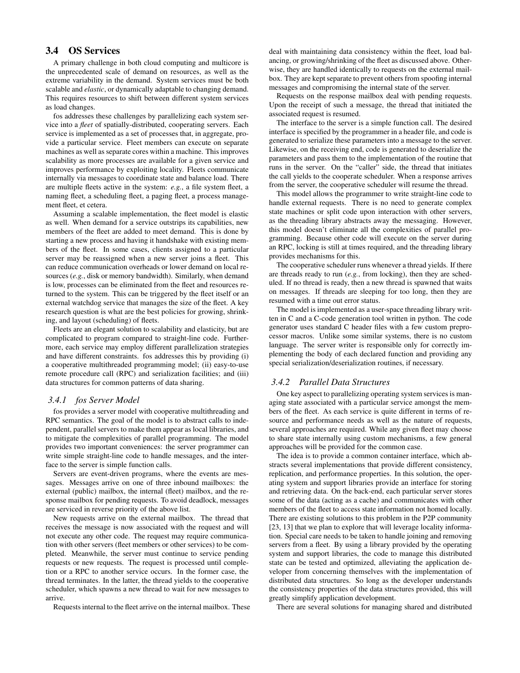# 3.4 OS Services

A primary challenge in both cloud computing and multicore is the unprecedented scale of demand on resources, as well as the extreme variability in the demand. System services must be both scalable and *elastic*, or dynamically adaptable to changing demand. This requires resources to shift between different system services as load changes.

fos addresses these challenges by parallelizing each system service into a *fleet* of spatially-distributed, cooperating servers. Each service is implemented as a set of processes that, in aggregate, provide a particular service. Fleet members can execute on separate machines as well as separate cores within a machine. This improves scalability as more processes are available for a given service and improves performance by exploiting locality. Fleets communicate internally via messages to coordinate state and balance load. There are multiple fleets active in the system: *e.g.*, a file system fleet, a naming fleet, a scheduling fleet, a paging fleet, a process management fleet, et cetera.

Assuming a scalable implementation, the fleet model is elastic as well. When demand for a service outstrips its capabilities, new members of the fleet are added to meet demand. This is done by starting a new process and having it handshake with existing members of the fleet. In some cases, clients assigned to a particular server may be reassigned when a new server joins a fleet. This can reduce communication overheads or lower demand on local resources (*e.g.*, disk or memory bandwidth). Similarly, when demand is low, processes can be eliminated from the fleet and resources returned to the system. This can be triggered by the fleet itself or an external watchdog service that manages the size of the fleet. A key research question is what are the best policies for growing, shrinking, and layout (scheduling) of fleets.

Fleets are an elegant solution to scalability and elasticity, but are complicated to program compared to straight-line code. Furthermore, each service may employ different parallelization strategies and have different constraints. fos addresses this by providing (i) a cooperative multithreaded programming model; (ii) easy-to-use remote procedure call (RPC) and serialization facilities; and (iii) data structures for common patterns of data sharing.

#### *3.4.1 fos Server Model*

fos provides a server model with cooperative multithreading and RPC semantics. The goal of the model is to abstract calls to independent, parallel servers to make them appear as local libraries, and to mitigate the complexities of parallel programming. The model provides two important conveniences: the server programmer can write simple straight-line code to handle messages, and the interface to the server is simple function calls.

Servers are event-driven programs, where the events are messages. Messages arrive on one of three inbound mailboxes: the external (public) mailbox, the internal (fleet) mailbox, and the response mailbox for pending requests. To avoid deadlock, messages are serviced in reverse priority of the above list.

New requests arrive on the external mailbox. The thread that receives the message is now associated with the request and will not execute any other code. The request may require communication with other servers (fleet members or other services) to be completed. Meanwhile, the server must continue to service pending requests or new requests. The request is processed until completion or a RPC to another service occurs. In the former case, the thread terminates. In the latter, the thread yields to the cooperative scheduler, which spawns a new thread to wait for new messages to arrive.

Requests internal to the fleet arrive on the internal mailbox. These

deal with maintaining data consistency within the fleet, load balancing, or growing/shrinking of the fleet as discussed above. Otherwise, they are handled identically to requests on the external mailbox. They are kept separate to prevent others from spoofing internal messages and compromising the internal state of the server.

Requests on the response mailbox deal with pending requests. Upon the receipt of such a message, the thread that initiated the associated request is resumed.

The interface to the server is a simple function call. The desired interface is specified by the programmer in a header file, and code is generated to serialize these parameters into a message to the server. Likewise, on the receiving end, code is generated to deserialize the parameters and pass them to the implementation of the routine that runs in the server. On the "caller" side, the thread that initiates the call yields to the cooperate scheduler. When a response arrives from the server, the cooperative scheduler will resume the thread.

This model allows the programmer to write straight-line code to handle external requests. There is no need to generate complex state machines or split code upon interaction with other servers, as the threading library abstracts away the messaging. However, this model doesn't eliminate all the complexities of parallel programming. Because other code will execute on the server during an RPC, locking is still at times required, and the threading library provides mechanisms for this.

The cooperative scheduler runs whenever a thread yields. If there are threads ready to run (*e.g.*, from locking), then they are scheduled. If no thread is ready, then a new thread is spawned that waits on messages. If threads are sleeping for too long, then they are resumed with a time out error status.

The model is implemented as a user-space threading library written in C and a C-code generation tool written in python. The code generator uses standard C header files with a few custom preprocessor macros. Unlike some similar systems, there is no custom language. The server writer is responsible only for correctly implementing the body of each declared function and providing any special serialization/deserialization routines, if necessary.

#### *3.4.2 Parallel Data Structures*

One key aspect to parallelizing operating system services is managing state associated with a particular service amongst the members of the fleet. As each service is quite different in terms of resource and performance needs as well as the nature of requests, several approaches are required. While any given fleet may choose to share state internally using custom mechanisms, a few general approaches will be provided for the common case.

The idea is to provide a common container interface, which abstracts several implementations that provide different consistency, replication, and performance properties. In this solution, the operating system and support libraries provide an interface for storing and retrieving data. On the back-end, each particular server stores some of the data (acting as a cache) and communicates with other members of the fleet to access state information not homed locally. There are existing solutions to this problem in the P2P community [23, 13] that we plan to explore that will leverage locality information. Special care needs to be taken to handle joining and removing servers from a fleet. By using a library provided by the operating system and support libraries, the code to manage this distributed state can be tested and optimized, alleviating the application developer from concerning themselves with the implementation of distributed data structures. So long as the developer understands the consistency properties of the data structures provided, this will greatly simplify application development.

There are several solutions for managing shared and distributed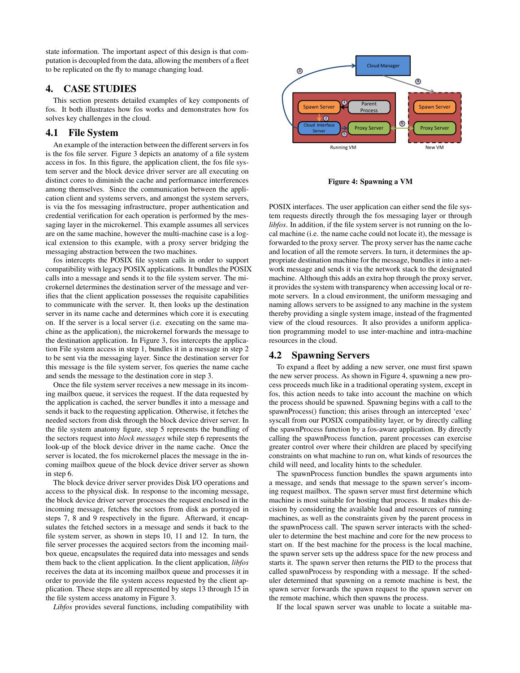state information. The important aspect of this design is that computation is decoupled from the data, allowing the members of a fleet to be replicated on the fly to manage changing load.

# 4. CASE STUDIES

This section presents detailed examples of key components of fos. It both illustrates how fos works and demonstrates how fos solves key challenges in the cloud.

## 4.1 File System

An example of the interaction between the different servers in fos is the fos file server. Figure 3 depicts an anatomy of a file system access in fos. In this figure, the application client, the fos file system server and the block device driver server are all executing on distinct cores to diminish the cache and performance interferences among themselves. Since the communication between the application client and systems servers, and amongst the system servers, is via the fos messaging infrastructure, proper authentication and credential verification for each operation is performed by the messaging layer in the microkernel. This example assumes all services are on the same machine, however the multi-machine case is a logical extension to this example, with a proxy server bridging the messaging abstraction between the two machines.

fos intercepts the POSIX file system calls in order to support compatibility with legacy POSIX applications. It bundles the POSIX calls into a message and sends it to the file system server. The microkernel determines the destination server of the message and verifies that the client application possesses the requisite capabilities to communicate with the server. It, then looks up the destination server in its name cache and determines which core it is executing on. If the server is a local server (i.e. executing on the same machine as the application), the microkernel forwards the message to the destination application. In Figure 3, fos intercepts the application File system access in step 1, bundles it in a message in step 2 to be sent via the messaging layer. Since the destination server for this message is the file system server, fos queries the name cache and sends the message to the destination core in step 3.

Once the file system server receives a new message in its incoming mailbox queue, it services the request. If the data requested by the application is cached, the server bundles it into a message and sends it back to the requesting application. Otherwise, it fetches the needed sectors from disk through the block device driver server. In the file system anatomy figure, step 5 represents the bundling of the sectors request into *block messages* while step 6 represents the look-up of the block device driver in the name cache. Once the server is located, the fos microkernel places the message in the incoming mailbox queue of the block device driver server as shown in step 6.

The block device driver server provides Disk I/O operations and access to the physical disk. In response to the incoming message, the block device driver server processes the request enclosed in the incoming message, fetches the sectors from disk as portrayed in steps 7, 8 and 9 respectively in the figure. Afterward, it encapsulates the fetched sectors in a message and sends it back to the file system server, as shown in steps 10, 11 and 12. In turn, the file server processes the acquired sectors from the incoming mailbox queue, encapsulates the required data into messages and sends them back to the client application. In the client application, *libfos* receives the data at its incoming mailbox queue and processes it in order to provide the file system access requested by the client application. These steps are all represented by steps 13 through 15 in the file system access anatomy in Figure 3.

*Libfos* provides several functions, including compatibility with



Figure 4: Spawning a VM

POSIX interfaces. The user application can either send the file system requests directly through the fos messaging layer or through *libfos*. In addition, if the file system server is not running on the local machine (i.e. the name cache could not locate it), the message is forwarded to the proxy server. The proxy server has the name cache and location of all the remote servers. In turn, it determines the appropriate destination machine for the message, bundles it into a network message and sends it via the network stack to the designated machine. Although this adds an extra hop through the proxy server, it provides the system with transparency when accessing local or remote servers. In a cloud environment, the uniform messaging and naming allows servers to be assigned to any machine in the system thereby providing a single system image, instead of the fragmented view of the cloud resources. It also provides a uniform application programming model to use inter-machine and intra-machine resources in the cloud.

### 4.2 Spawning Servers

To expand a fleet by adding a new server, one must first spawn the new server process. As shown in Figure 4, spawning a new process proceeds much like in a traditional operating system, except in fos, this action needs to take into account the machine on which the process should be spawned. Spawning begins with a call to the spawnProcess() function; this arises through an intercepted 'exec' syscall from our POSIX compatibility layer, or by directly calling the spawnProcess function by a fos-aware application. By directly calling the spawnProcess function, parent processes can exercise greater control over where their children are placed by specifying constraints on what machine to run on, what kinds of resources the child will need, and locality hints to the scheduler.

The spawnProcess function bundles the spawn arguments into a message, and sends that message to the spawn server's incoming request mailbox. The spawn server must first determine which machine is most suitable for hosting that process. It makes this decision by considering the available load and resources of running machines, as well as the constraints given by the parent process in the spawnProcess call. The spawn server interacts with the scheduler to determine the best machine and core for the new process to start on. If the best machine for the process is the local machine, the spawn server sets up the address space for the new process and starts it. The spawn server then returns the PID to the process that called spawnProcess by responding with a message. If the scheduler determined that spawning on a remote machine is best, the spawn server forwards the spawn request to the spawn server on the remote machine, which then spawns the process.

If the local spawn server was unable to locate a suitable ma-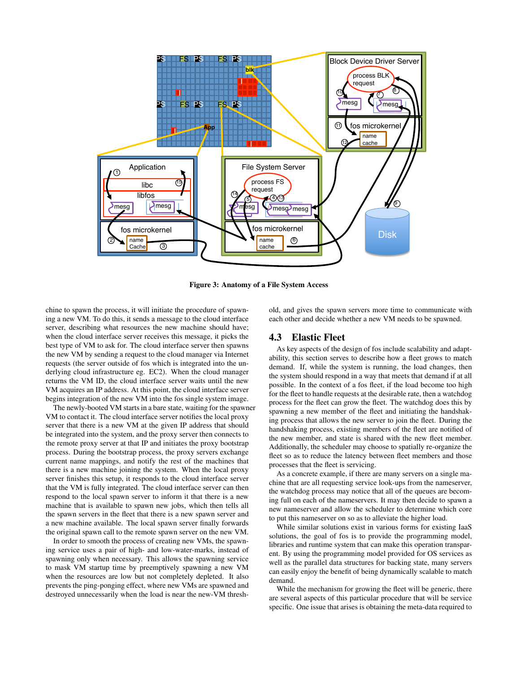

Figure 3: Anatomy of a File System Access

chine to spawn the process, it will initiate the procedure of spawning a new VM. To do this, it sends a message to the cloud interface server, describing what resources the new machine should have; when the cloud interface server receives this message, it picks the best type of VM to ask for. The cloud interface server then spawns the new VM by sending a request to the cloud manager via Internet requests (the server outside of fos which is integrated into the underlying cloud infrastructure eg. EC2). When the cloud manager returns the VM ID, the cloud interface server waits until the new VM acquires an IP address. At this point, the cloud interface server begins integration of the new VM into the fos single system image.

The newly-booted VM starts in a bare state, waiting for the spawner VM to contact it. The cloud interface server notifies the local proxy server that there is a new VM at the given IP address that should be integrated into the system, and the proxy server then connects to the remote proxy server at that IP and initiates the proxy bootstrap process. During the bootstrap process, the proxy servers exchange current name mappings, and notify the rest of the machines that there is a new machine joining the system. When the local proxy server finishes this setup, it responds to the cloud interface server that the VM is fully integrated. The cloud interface server can then respond to the local spawn server to inform it that there is a new machine that is available to spawn new jobs, which then tells all the spawn servers in the fleet that there is a new spawn server and a new machine available. The local spawn server finally forwards the original spawn call to the remote spawn server on the new VM.

In order to smooth the process of creating new VMs, the spawning service uses a pair of high- and low-water-marks, instead of spawning only when necessary. This allows the spawning service to mask VM startup time by preemptively spawning a new VM when the resources are low but not completely depleted. It also prevents the ping-ponging effect, where new VMs are spawned and destroyed unnecessarily when the load is near the new-VM threshold, and gives the spawn servers more time to communicate with each other and decide whether a new VM needs to be spawned.

#### 4.3 Elastic Fleet

As key aspects of the design of fos include scalability and adaptability, this section serves to describe how a fleet grows to match demand. If, while the system is running, the load changes, then the system should respond in a way that meets that demand if at all possible. In the context of a fos fleet, if the load become too high for the fleet to handle requests at the desirable rate, then a watchdog process for the fleet can grow the fleet. The watchdog does this by spawning a new member of the fleet and initiating the handshaking process that allows the new server to join the fleet. During the handshaking process, existing members of the fleet are notified of the new member, and state is shared with the new fleet member. Additionally, the scheduler may choose to spatially re-organize the fleet so as to reduce the latency between fleet members and those processes that the fleet is servicing.

As a concrete example, if there are many servers on a single machine that are all requesting service look-ups from the nameserver, the watchdog process may notice that all of the queues are becoming full on each of the nameservers. It may then decide to spawn a new nameserver and allow the scheduler to determine which core to put this nameserver on so as to alleviate the higher load.

While similar solutions exist in various forms for existing IaaS solutions, the goal of fos is to provide the programming model, libraries and runtime system that can make this operation transparent. By using the programming model provided for OS services as well as the parallel data structures for backing state, many servers can easily enjoy the benefit of being dynamically scalable to match demand.

While the mechanism for growing the fleet will be generic, there are several aspects of this particular procedure that will be service specific. One issue that arises is obtaining the meta-data required to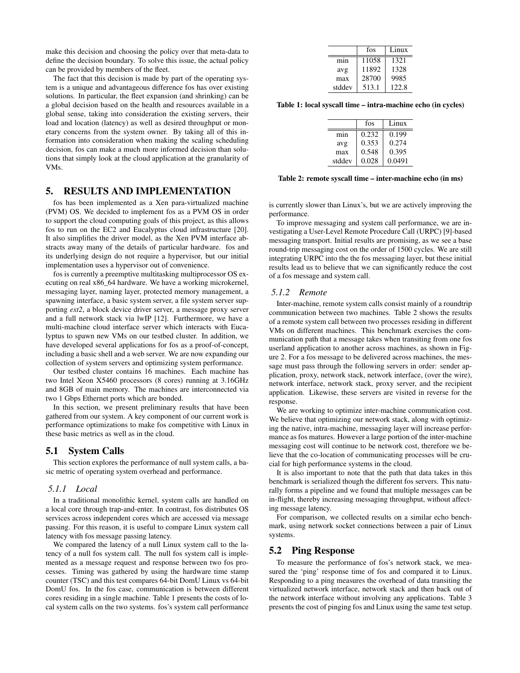make this decision and choosing the policy over that meta-data to define the decision boundary. To solve this issue, the actual policy can be provided by members of the fleet.

The fact that this decision is made by part of the operating system is a unique and advantageous difference fos has over existing solutions. In particular, the fleet expansion (and shrinking) can be a global decision based on the health and resources available in a global sense, taking into consideration the existing servers, their load and location (latency) as well as desired throughput or monetary concerns from the system owner. By taking all of this information into consideration when making the scaling scheduling decision, fos can make a much more informed decision than solutions that simply look at the cloud application at the granularity of VMs.

# 5. RESULTS AND IMPLEMENTATION

fos has been implemented as a Xen para-virtualized machine (PVM) OS. We decided to implement fos as a PVM OS in order to support the cloud computing goals of this project, as this allows fos to run on the EC2 and Eucalyptus cloud infrastructure [20]. It also simplifies the driver model, as the Xen PVM interface abstracts away many of the details of particular hardware. fos and its underlying design do not require a hypervisor, but our initial implementation uses a hypervisor out of convenience.

fos is currently a preemptive multitasking multiprocessor OS executing on real x86\_64 hardware. We have a working microkernel, messaging layer, naming layer, protected memory management, a spawning interface, a basic system server, a file system server supporting *ext2*, a block device driver server, a message proxy server and a full network stack via lwIP [12]. Furthermore, we have a multi-machine cloud interface server which interacts with Eucalyptus to spawn new VMs on our testbed cluster. In addition, we have developed several applications for fos as a proof-of-concept, including a basic shell and a web server. We are now expanding our collection of system servers and optimizing system performance.

Our testbed cluster contains 16 machines. Each machine has two Intel Xeon X5460 processors (8 cores) running at 3.16GHz and 8GB of main memory. The machines are interconnected via two 1 Gbps Ethernet ports which are bonded.

In this section, we present preliminary results that have been gathered from our system. A key component of our current work is performance optimizations to make fos competitive with Linux in these basic metrics as well as in the cloud.

### 5.1 System Calls

This section explores the performance of null system calls, a basic metric of operating system overhead and performance.

#### *5.1.1 Local*

In a traditional monolithic kernel, system calls are handled on a local core through trap-and-enter. In contrast, fos distributes OS services across independent cores which are accessed via message passing. For this reason, it is useful to compare Linux system call latency with fos message passing latency.

We compared the latency of a null Linux system call to the latency of a null fos system call. The null fos system call is implemented as a message request and response between two fos processes. Timing was gathered by using the hardware time stamp counter (TSC) and this test compares 64-bit DomU Linux vs 64-bit DomU fos. In the fos case, communication is between different cores residing in a single machine. Table 1 presents the costs of local system calls on the two systems. fos's system call performance

|        | fos   | Linux |
|--------|-------|-------|
| mın    | 11058 | 1321  |
| avg    | 11892 | 1328  |
| max    | 28700 | 9985  |
| stddev | 513.1 | 122.8 |

Table 1: local syscall time – intra-machine echo (in cycles)

|        | fos   | Linux  |
|--------|-------|--------|
| mın    | 0.232 | 0.199  |
| avg    | 0.353 | 0.274  |
| max    | 0.548 | 0.395  |
| stddev | 0.028 | 0.0491 |

Table 2: remote syscall time – inter-machine echo (in ms)

is currently slower than Linux's, but we are actively improving the performance.

To improve messaging and system call performance, we are investigating a User-Level Remote Procedure Call (URPC) [9]-based messaging transport. Initial results are promising, as we see a base round-trip messaging cost on the order of 1500 cycles. We are still integrating URPC into the the fos messaging layer, but these initial results lead us to believe that we can significantly reduce the cost of a fos message and system call.

#### *5.1.2 Remote*

Inter-machine, remote system calls consist mainly of a roundtrip communication between two machines. Table 2 shows the results of a remote system call between two processes residing in different VMs on different machines. This benchmark exercises the communication path that a message takes when transiting from one fos userland application to another across machines, as shown in Figure 2. For a fos message to be delivered across machines, the message must pass through the following servers in order: sender application, proxy, network stack, network interface, (over the wire), network interface, network stack, proxy server, and the recipient application. Likewise, these servers are visited in reverse for the response.

We are working to optimize inter-machine communication cost. We believe that optimizing our network stack, along with optimizing the native, intra-machine, messaging layer will increase performance as fos matures. However a large portion of the inter-machine messaging cost will continue to be network cost, therefore we believe that the co-location of communicating processes will be crucial for high performance systems in the cloud.

It is also important to note that the path that data takes in this benchmark is serialized though the different fos servers. This naturally forms a pipeline and we found that multiple messages can be in-flight, thereby increasing messaging throughput, without affecting message latency.

For comparison, we collected results on a similar echo benchmark, using network socket connections between a pair of Linux systems.

### 5.2 Ping Response

To measure the performance of fos's network stack, we measured the 'ping' response time of fos and compared it to Linux. Responding to a ping measures the overhead of data transiting the virtualized network interface, network stack and then back out of the network interface without involving any applications. Table 3 presents the cost of pinging fos and Linux using the same test setup.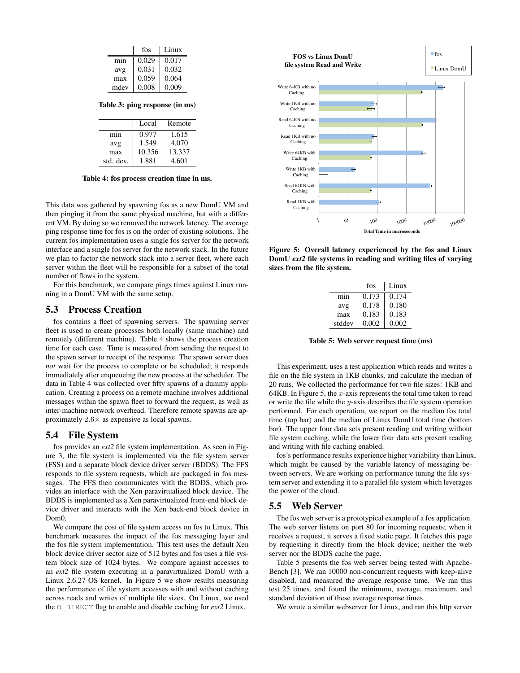|      | fos   | Linux |
|------|-------|-------|
| min  | 0.029 | 0.017 |
| avg  | 0.031 | 0.032 |
| max  | 0.059 | 0.064 |
| mdev | 0.008 | 0.009 |

Table 3: ping response (in ms)

|           | Local  | Remote |
|-----------|--------|--------|
| min       | 0.977  | 1.615  |
| avg       | 1.549  | 4.070  |
| max       | 10.356 | 13.337 |
| std. dev. | 1.881  | 4.601  |

Table 4: fos process creation time in ms.

This data was gathered by spawning fos as a new DomU VM and then pinging it from the same physical machine, but with a different VM. By doing so we removed the network latency. The average ping response time for fos is on the order of existing solutions. The current fos implementation uses a single fos server for the network interface and a single fos server for the network stack. In the future we plan to factor the network stack into a server fleet, where each server within the fleet will be responsible for a subset of the total number of flows in the system.

For this benchmark, we compare pings times against Linux running in a DomU VM with the same setup.

### 5.3 Process Creation

fos contains a fleet of spawning servers. The spawning server fleet is used to create processes both locally (same machine) and remotely (different machine). Table 4 shows the process creation time for each case. Time is measured from sending the request to the spawn server to receipt of the response. The spawn server does *not* wait for the process to complete or be scheduled; it responds immediately after enqueueing the new process at the scheduler. The data in Table 4 was collected over fifty spawns of a dummy application. Creating a process on a remote machine involves additional messages within the spawn fleet to forward the request, as well as inter-machine network overhead. Therefore remote spawns are approximately  $2.6 \times$  as expensive as local spawns.

### 5.4 File System

fos provides an *ext2* file system implementation. As seen in Figure 3, the file system is implemented via the file system server (FSS) and a separate block device driver server (BDDS). The FFS responds to file system requests, which are packaged in fos messages. The FFS then communicates with the BDDS, which provides an interface with the Xen paravirtualized block device. The BDDS is implemented as a Xen paravirtualized front-end block device driver and interacts with the Xen back-end block device in Dom<sub>0</sub>.

We compare the cost of file system access on fos to Linux. This benchmark measures the impact of the fos messaging layer and the fos file system implementation. This test uses the default Xen block device driver sector size of 512 bytes and fos uses a file system block size of 1024 bytes. We compare against accesses to an *ext2* file system executing in a paravirtualized DomU with a Linux 2.6.27 OS kernel. In Figure 5 we show results measuring the performance of file system accesses with and without caching across reads and writes of multiple file sizes. On Linux, we used the O\_DIRECT flag to enable and disable caching for *ext2* Linux.



Figure 5: Overall latency experienced by the fos and Linux DomU *ext2* file systems in reading and writing files of varying sizes from the file system.

|        | fos   | Linux |
|--------|-------|-------|
| min    | 0.173 | 0.174 |
| avg    | 0.178 | 0.180 |
| max    | 0.183 | 0.183 |
| stddev | 0.002 | 0.002 |

Table 5: Web server request time (ms)

This experiment, uses a test application which reads and writes a file on the file system in 1KB chunks, and calculate the median of 20 runs. We collected the performance for two file sizes: 1KB and 64KB. In Figure 5, the  $x$ -axis represents the total time taken to read or write the file while the  $y$ -axis describes the file system operation performed. For each operation, we report on the median fos total time (top bar) and the median of Linux DomU total time (bottom bar). The upper four data sets present reading and writing without file system caching, while the lower four data sets present reading and writing with file caching enabled.

fos's performance results experience higher variability than Linux, which might be caused by the variable latency of messaging between servers. We are working on performance tuning the file system server and extending it to a parallel file system which leverages the power of the cloud.

#### 5.5 Web Server

The fos web server is a prototypical example of a fos application. The web server listens on port 80 for incoming requests; when it receives a request, it serves a fixed static page. It fetches this page by requesting it directly from the block device; neither the web server nor the BDDS cache the page.

Table 5 presents the fos web server being tested with Apache-Bench [3]. We ran 10000 non-concurrent requests with keep-alive disabled, and measured the average response time. We ran this test 25 times, and found the minimum, average, maximum, and standard deviation of these average response times.

We wrote a similar webserver for Linux, and ran this http server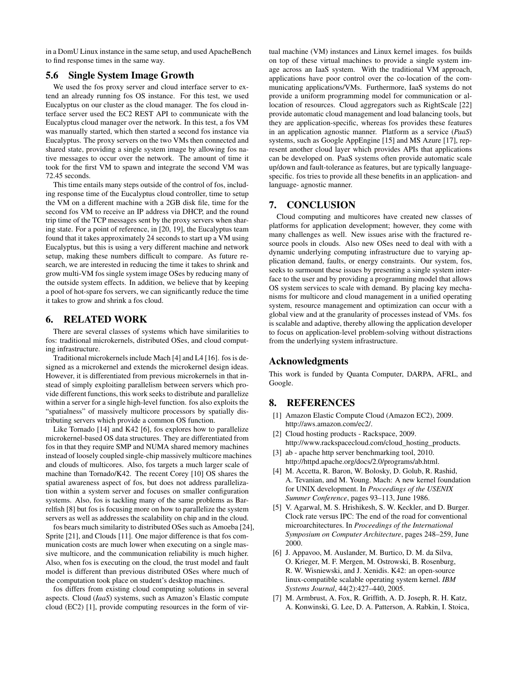in a DomU Linux instance in the same setup, and used ApacheBench to find response times in the same way.

# 5.6 Single System Image Growth

We used the fos proxy server and cloud interface server to extend an already running fos OS instance. For this test, we used Eucalyptus on our cluster as the cloud manager. The fos cloud interface server used the EC2 REST API to communicate with the Eucalyptus cloud manager over the network. In this test, a fos VM was manually started, which then started a second fos instance via Eucalyptus. The proxy servers on the two VMs then connected and shared state, providing a single system image by allowing fos native messages to occur over the network. The amount of time it took for the first VM to spawn and integrate the second VM was 72.45 seconds.

This time entails many steps outside of the control of fos, including response time of the Eucalyptus cloud controller, time to setup the VM on a different machine with a 2GB disk file, time for the second fos VM to receive an IP address via DHCP, and the round trip time of the TCP messages sent by the proxy servers when sharing state. For a point of reference, in [20, 19], the Eucalyptus team found that it takes approximately 24 seconds to start up a VM using Eucalyptus, but this is using a very different machine and network setup, making these numbers difficult to compare. As future research, we are interested in reducing the time it takes to shrink and grow multi-VM fos single system image OSes by reducing many of the outside system effects. In addition, we believe that by keeping a pool of hot-spare fos servers, we can significantly reduce the time it takes to grow and shrink a fos cloud.

# 6. RELATED WORK

There are several classes of systems which have similarities to fos: traditional microkernels, distributed OSes, and cloud computing infrastructure.

Traditional microkernels include Mach [4] and L4 [16]. fos is designed as a microkernel and extends the microkernel design ideas. However, it is differentiated from previous microkernels in that instead of simply exploiting parallelism between servers which provide different functions, this work seeks to distribute and parallelize within a server for a single high-level function. fos also exploits the "spatialness" of massively multicore processors by spatially distributing servers which provide a common OS function.

Like Tornado [14] and K42 [6], fos explores how to parallelize microkernel-based OS data structures. They are differentiated from fos in that they require SMP and NUMA shared memory machines instead of loosely coupled single-chip massively multicore machines and clouds of multicores. Also, fos targets a much larger scale of machine than Tornado/K42. The recent Corey [10] OS shares the spatial awareness aspect of fos, but does not address parallelization within a system server and focuses on smaller configuration systems. Also, fos is tackling many of the same problems as Barrelfish [8] but fos is focusing more on how to parallelize the system servers as well as addresses the scalability on chip and in the cloud.

fos bears much similarity to distributed OSes such as Amoeba [24], Sprite [21], and Clouds [11]. One major difference is that fos communication costs are much lower when executing on a single massive multicore, and the communication reliability is much higher. Also, when fos is executing on the cloud, the trust model and fault model is different than previous distributed OSes where much of the computation took place on student's desktop machines.

fos differs from existing cloud computing solutions in several aspects. Cloud (*IaaS*) systems, such as Amazon's Elastic compute cloud (EC2) [1], provide computing resources in the form of virtual machine (VM) instances and Linux kernel images. fos builds on top of these virtual machines to provide a single system image across an IaaS system. With the traditional VM approach, applications have poor control over the co-location of the communicating applications/VMs. Furthermore, IaaS systems do not provide a uniform programming model for communication or allocation of resources. Cloud aggregators such as RightScale [22] provide automatic cloud management and load balancing tools, but they are application-specific, whereas fos provides these features in an application agnostic manner. Platform as a service (*PaaS*) systems, such as Google AppEngine [15] and MS Azure [17], represent another cloud layer which provides APIs that applications can be developed on. PaaS systems often provide automatic scale up/down and fault-tolerance as features, but are typically languagespecific. fos tries to provide all these benefits in an application- and language- agnostic manner.

# 7. CONCLUSION

Cloud computing and multicores have created new classes of platforms for application development; however, they come with many challenges as well. New issues arise with the fractured resource pools in clouds. Also new OSes need to deal with with a dynamic underlying computing infrastructure due to varying application demand, faults, or energy constraints. Our system, fos, seeks to surmount these issues by presenting a single system interface to the user and by providing a programming model that allows OS system services to scale with demand. By placing key mechanisms for multicore and cloud management in a unified operating system, resource management and optimization can occur with a global view and at the granularity of processes instead of VMs. fos is scalable and adaptive, thereby allowing the application developer to focus on application-level problem-solving without distractions from the underlying system infrastructure.

## Acknowledgments

This work is funded by Quanta Computer, DARPA, AFRL, and Google.

## 8. REFERENCES

- [1] Amazon Elastic Compute Cloud (Amazon EC2), 2009. http://aws.amazon.com/ec2/.
- [2] Cloud hosting products Rackspace, 2009. http://www.rackspacecloud.com/cloud\_hosting\_products.
- [3] ab apache http server benchmarking tool, 2010. http://httpd.apache.org/docs/2.0/programs/ab.html.
- [4] M. Accetta, R. Baron, W. Bolosky, D. Golub, R. Rashid, A. Tevanian, and M. Young. Mach: A new kernel foundation for UNIX development. In *Proceedings of the USENIX Summer Conference*, pages 93–113, June 1986.
- [5] V. Agarwal, M. S. Hrishikesh, S. W. Keckler, and D. Burger. Clock rate versus IPC: The end of the road for conventional microarchitectures. In *Proceedings of the International Symposium on Computer Architecture*, pages 248–259, June 2000.
- [6] J. Appavoo, M. Auslander, M. Burtico, D. M. da Silva, O. Krieger, M. F. Mergen, M. Ostrowski, B. Rosenburg, R. W. Wisniewski, and J. Xenidis. K42: an open-source linux-compatible scalable operating system kernel. *IBM Systems Journal*, 44(2):427–440, 2005.
- [7] M. Armbrust, A. Fox, R. Griffith, A. D. Joseph, R. H. Katz, A. Konwinski, G. Lee, D. A. Patterson, A. Rabkin, I. Stoica,